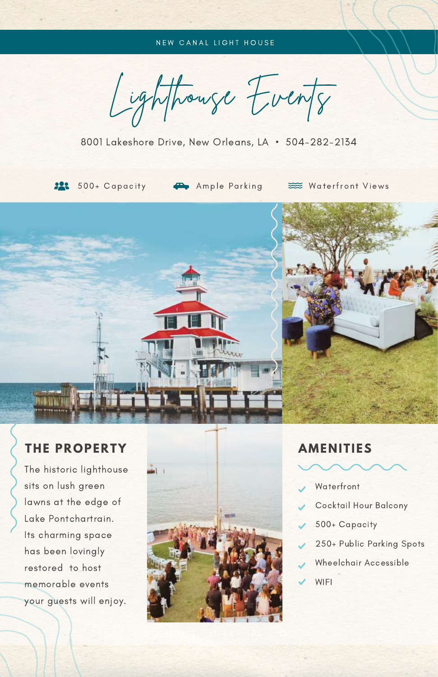### NEW CANAL LIGHT HOUSE

Lighthouse Events

8001 Lakeshore Drive, New Orleans, LA • 504-282-2134



**22:** 500+ Capacity **42** Ample Parking

Waterfront Views



The historic lighthouse sits on lush green lawns at the edge of Lake Pontchartrain. Its charming space has been lovingly restored to host memorable events your guests will enjoy.





- **Waterfront**
- Cocktail Hour Balcony
- 500+ Capacity
- 250+ Public Parking Spots
- Wheelchair Accessible
- WIFI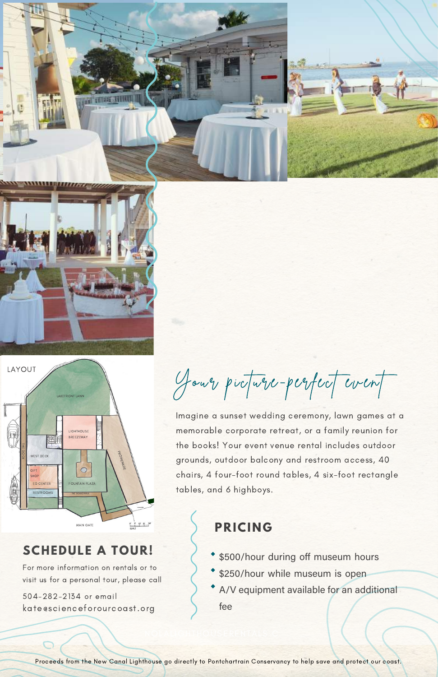





## **SCHEDULE A TOUR!**

For more information on rentals or to visit us for a personal tour, please call

504-282-2134 or email [kate@scienceforourcoast.org](mailto:kate@scienceforourcoast.org)

Your picture-perfect event

Imagine a sunset wedding ceremony, lawn games at a memorable corporate retreat, or a family reunion for the books! Your event venue rental includes outdoor grounds, outdoor balcony and restroom access, 40 chairs, 4 four-foot round tables, 4 six-foot rectangle tables, and 6 highboys.

# **PRICING**

- \$500/hour during off museum hours
- \* \$250/hour while museum is open
- A/V equipment available for an additional fee

Proceeds from the New Canal Lighthouse go directly to Pontchartrain Conservancy to help save and protect our coast.